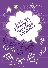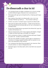## **Do dhearcadh a chur in iúl**

- Cuir do bharúil agus an dóigh a mothaíonn tú in iúl ach cinntigh go bhfuil fáthanna agat a thacaíonn leis na barúlacha sin.
- Má tá dearcadh agat ag tús díospóireachta, mínigh go gairid agus go soiléir é.
- Bain úsáid as frása láidir le do dhearcadh a chur in iúl, mar shampla 'Mothaím go láidir go …', 'Tá sé iontach soiléir go…'
- Amharc sna súile ar na daoine agus tú ag léiriú do dhearcaidh.
- Déan plé le do dhearcadh a fhorbairt is féidir leat do bharúil a athrú faoi ghnéithe de do dhearcadh de réir mar a chluineann tú tuilleadh eolais.
- Bí ag súil go mbeidh daoine ag easaontú faoi dhearcthaí, agus fan stuama má tharlaíonn sin.
- Déan do mhachnamh roimh ré faoi argóintí arbh fhéidir a thógáil in éadan do dhearcaidh agus ullmhaigh frith-argóintí.
- Eist le ceisteanna a théann in éadan do dhearcaidh agus freagair go soiléir iad – ná déan neamhaird díobh.
- Glac leis nach mbeidh an freagra i gcónaí agat ar cheisteanna a chuirtear ort. Ní gá go lagófar do dhearcadh mar gheall air seo, fad is nach dtarlaíonn sé go rómhinic.
- Cuir ceisteanna faoi dhearcthaí atá éagsúil ó do cheannsa. Déan iarracht amharc ar rudaí ar dhóigheanna eile.
- Ná bíodh eagla ort do dhearcadh a athrú más féidir leat seasamh leis seo.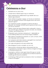## **Ceisteanna a chur**

- Ná bíodh imní ort ceist a chur.
- Léirigh meas ar dhaoine agus tú ag cur ceisteanna.
- Bíonn ceisteanna fíor-thábhachtach le go mbeidh rath ar an labhairt agus éisteacht.
- Nuair a bhíonn tú ag obair i ngrúpa, cuir tús leis an chomhrá le ceist, mar shampla 'An bhfuil a fhios ag gach duine cad é atá le déanamh againn?'
- Cuir ceisteanna oscailte a spreagann na daoine eile páirt a ghlacadh, mar shampla 'An bhfuil tuairim ag duine ar bith le tús a chur leis an chomhrá?'
- Tabhair uchtach don duine fhaiteach páirt a ghlacadh trí cheist a chur air/uirthi agus a (h)ainm a lua ag tús na ceiste, mar shampla 'A Sheáin, cad é do bharúil faoi …?'
- Bí dearfach nuair a chuirtear ceisteanna ort tabharfaidh sin muinín dóibh go bhfuil sé ar do chumas freagra a thabhairt.
- Bain úsáid as na buntéarmaí ceisteacha: cé, cad é, cá huair, cá háit, cad chuige agus cad é an dóigh.
- Cuir ceisteanna reitriciúla le daoine a spreagadh chun machnamh níos doimhne a dhéanamh ar an cheist.
- Cuir cúpla ceist ghairid in áit ceann amháin fada.
- Mura dtuigeann tú ceist a cuireadh, cuir sin in iúl.
- Déan iarracht a chinntiú go mbíonn cothromaíocht idir líon na gceisteanna a chuireann tú agus a mhinice a thugann tú freagra ar cheisteanna daoine eile.
- Smaoinigh ar a bhfuil ar eolas agat cheana féin agus an rud atá le foghlaim agat, ansin cuir ceisteanna leis an bhearna eatarthu a líonadh agus do thuiscint a shoiléiriú.
- Cuimhnigh gur féidir gurb iad na ceisteanna is fearr na ceisteanna is deacra a fhreagairt.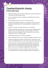#### **Comharthaíocht choirp** (Obair ghrúpa)

- Má bhíonn grúpa ina suí thart ar thábla, ba cheart go mbeadh an méid céanna spáis ag gach duine.
- Cuir na suíocháin amach sa dóigh is go mbeidh gach duine ag díriú ar an lár.
- Ná tiontaigh do dhroim le duine ar bith sa ghrúpa.
- Ná bíodh do chuid uillinneacha ar an tábla, nó má chromann tú isteach ní bheidh daoine eile sa ghrúpa ábalta na daoine eile a fheiceáil.
- Amharc sna súile ar dhaoine eile le linn an chomhrá
- Ná déan dearmad gur féidir leis an chuma atá ar d'aghaidh míle focal a chur in iúl. Mar shampla, cuirtear iontas in iúl nuair a dhéantar na súile a leathnú; cuirtear míthuiscint in iúl nuair a chuireann tú roic i do mhalaí súile.
- Ná léirigh do bharúil trí do shúile a chasadh.
- Nuair a labhraíonn duine nua, tiontaigh rud beag le hamharc orthu.
- Taispeáin do dhaoine go bhfuil suim agat iontu, ag amharc orthu agus ag sméideadh do chinn ó am go ham agus tú ag éisteacht leo.
- Agus tú ag caint, is féidir le gotha gnúise bheith ina chuidiú le go gcluinfear do theachtaireacht go soiléir. Mar shampla, má bhíonn níos mó ná cúpla pointe le déanamh agat, is féidir leat béim a chur orthu trí chuntas a dhéanamh ar do mhéara.
- Bí cinnte go léiríonn tú meas ar dhaoine eile i gcónaí tríd an chomharthaíocht choirp agus na gothaí gnúise a úsáideann tú.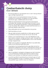### **Comharthaíocht choirp** (Cur i láthair)

- Bí cinnte go bhfuil tú i do sheasamh mar is ceart. Seas go díreach agus coinnigh do ghuaillí siar.
- Léirigh muinín trí do chomharthaíocht choirp. Fiú mura mothaíonn tú muiníneach, má ligeann tú ort féin go bhfuil féinmhuinín agat, creidfidh daoine eile sin fosta.
- Bíodh do chomharthaíocht choirp ag teacht le foirmiúlacht na hócáide. Mar shampla, más ócáid iontach foirimiúil í nó má bhíonn tú i do sheasamh ag léachtán, is dócha go bhfanfaidh tú in aon áit amháin. Mura mbíonn an ócáid chomh foirmiúil sin, is dócha go mbeidh tú ag siúl thart.
- Déan aoibh gháire leis an lucht éisteachta ó am go ham.
- Ná fill do lámha ar d'ucht.
- Más gá, bíodh do lámha snaidhmthe le chéile agat go scaoilte os comhair do choirp ach ná seas mar sin an t-am ar fad.
- Amharc ar an lucht féachana an t-am ar fad. Má bhíonn tú ag baint úsáid as scáileán, ná léigh go díreach uaidh. Coinnigh súil ar a bhfuil ar an scáileán trí ríomhaire glúine a chur os do chomhair áit éigin cóngarach duit.
- Bíodh cuma na spéise ar d'aghaidh. Má bhíonn tusa dubh dóite, beidh an lucht féachana dubh dóite fosta.
- Smaoinigh ar do chuid gothaíochta féin agus déan iarracht an ghothaíocht a dhéanann tú go minic a choinneáil faoi smacht, mar shampla, do chuid gruaige a chíoradh le do lámh nó luascadh ar do shála.
- Agus tú ag labhairt, tiontaigh do chloigeann go mall le hamharc ar an lucht féachana. Ná déan dearmad de na daoine atá go díreach os do chomhair nó i bhfad uait i gcúinní an tseomra.
- Lena léiriú go bhfuil tú ag éisteacht go cúramach agus an lucht féachana ag labhairt nó ag cur ceisteanna, amharc ar an duine atá ag labhairt agus sméid nó claon do chloigeann.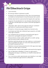# **Plé Éifeachtach Grúpa**

- Lean treoracha
- Bí cinnte go mbíonn tú páirteach sa phlé.
- Bí eolach ar do chomharthaíocht choirp. Bí ar do shuaimhneas ach bíodh do chomharthaíocht choirp fóirsteanach don suíomh.
- Ná déan dearmad de na pearsantachtaí éagsúla atá sa ghrúpa.
- Leag síos róil sula dtosaíonn tú, mar shampla cathaoirleach leis an ghrúpa a stiúradh agus leis an phlé a choinneáil ag bogadh ar aghaidh.
- I dtús báire, abair cad é an tasc agus bí cinnte go n-aontaíonn gach duine ar na spriocanna atá le baint amach.
- Bí eolach ar chúrsaí ama agus cloígh leis an teorainn ama.
- Cuimhnigh nach féidir plé a dhéanamh gan easaontú, ach bíodh meas agat ar dhaoine.
- Cuir ceisteanna leis an chomhrá a choinneáil ag dul agus le daoine eile a spreagadh lena bpointí a fhorbairt.
- Ná lig do dhuine amháin seilbh a ghlacadh ar an phlé: spreag gach aon duine le páirt a bheith acu ann.
- Má bhíonn baill den ghrúpa ciúin, bain úsáid as a n-ainmneacha agus tú ag labhairt leo agus cuir ceist orthu faoina dtuairimí le go mbeidh siad páirteach ann.
- Má bhíonn clonscairt phearsantachta idir tú féin agus duine éigin. dírigh ar an topaic agus ní orthusan.
- Smaoinigh faoin rud atá á phlé agaibh ó pheirspictíochtaí éagsúla.
- Glac ról abhcóide an dhiabhail: is ionann sin agus pointí a dhéanamh nach gá go n-aontófá leo, ar mhaithe le dearcadh eile a nochtadh.
- Cuir críoch leis an phlé cúpla bomaite sula mbeidh an t-am istigh ionas go mbeidh deis agat achoimre a dhéanamh.